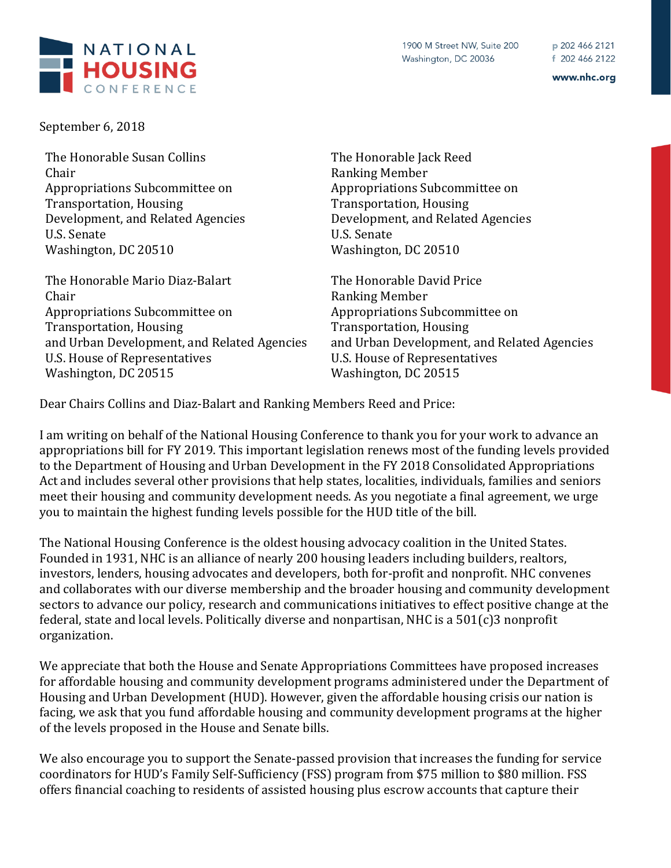

September 6, 2018

The Honorable Susan Collins Chair Appropriations Subcommittee on Transportation, Housing Development, and Related Agencies U.S. Senate Washington, DC 20510

The Honorable Mario Diaz-Balart Chair Appropriations Subcommittee on Transportation, Housing and Urban Development, and Related Agencies U.S. House of Representatives Washington, DC 20515

The Honorable Jack Reed Ranking Member Appropriations Subcommittee on Transportation, Housing Development, and Related Agencies U.S. Senate Washington, DC 20510

The Honorable David Price Ranking Member Appropriations Subcommittee on Transportation, Housing and Urban Development, and Related Agencies U.S. House of Representatives Washington, DC 20515

Dear Chairs Collins and Diaz-Balart and Ranking Members Reed and Price:

I am writing on behalf of the National Housing Conference to thank you for your work to advance an appropriations bill for FY 2019. This important legislation renews most of the funding levels provided to the Department of Housing and Urban Development in the FY 2018 Consolidated Appropriations Act and includes several other provisions that help states, localities, individuals, families and seniors meet their housing and community development needs. As you negotiate a final agreement, we urge you to maintain the highest funding levels possible for the HUD title of the bill.

The National Housing Conference is the oldest housing advocacy coalition in the United States. Founded in 1931, NHC is an alliance of nearly 200 housing leaders including builders, realtors, investors, lenders, housing advocates and developers, both for-profit and nonprofit. NHC convenes and collaborates with our diverse membership and the broader housing and community development sectors to advance our policy, research and communications initiatives to effect positive change at the federal, state and local levels. Politically diverse and nonpartisan, NHC is a 501(c)3 nonprofit organization.

We appreciate that both the House and Senate Appropriations Committees have proposed increases for affordable housing and community development programs administered under the Department of Housing and Urban Development (HUD). However, given the affordable housing crisis our nation is facing, we ask that you fund affordable housing and community development programs at the higher of the levels proposed in the House and Senate bills.

We also encourage you to support the Senate-passed provision that increases the funding for service coordinators for HUD's Family Self-Sufficiency (FSS) program from \$75 million to \$80 million. FSS offers financial coaching to residents of assisted housing plus escrow accounts that capture their